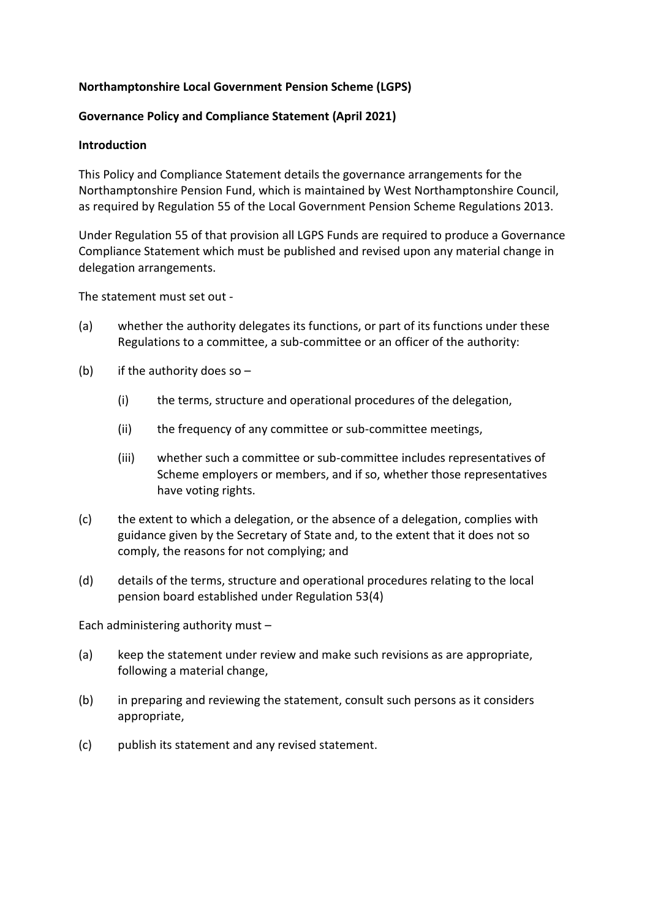### **Northamptonshire Local Government Pension Scheme (LGPS)**

#### **Governance Policy and Compliance Statement (April 2021)**

#### **Introduction**

This Policy and Compliance Statement details the governance arrangements for the Northamptonshire Pension Fund, which is maintained by West Northamptonshire Council, as required by Regulation 55 of the Local Government Pension Scheme Regulations 2013.

Under Regulation 55 of that provision all LGPS Funds are required to produce a Governance Compliance Statement which must be published and revised upon any material change in delegation arrangements.

The statement must set out -

- (a) whether the authority delegates its functions, or part of its functions under these Regulations to a committee, a sub-committee or an officer of the authority:
- (b) if the authority does so  $-$ 
	- (i) the terms, structure and operational procedures of the delegation,
	- (ii) the frequency of any committee or sub-committee meetings,
	- (iii) whether such a committee or sub-committee includes representatives of Scheme employers or members, and if so, whether those representatives have voting rights.
- (c) the extent to which a delegation, or the absence of a delegation, complies with guidance given by the Secretary of State and, to the extent that it does not so comply, the reasons for not complying; and
- (d) details of the terms, structure and operational procedures relating to the local pension board established under Regulation 53(4)

Each administering authority must –

- (a) keep the statement under review and make such revisions as are appropriate, following a material change,
- (b) in preparing and reviewing the statement, consult such persons as it considers appropriate,
- (c) publish its statement and any revised statement.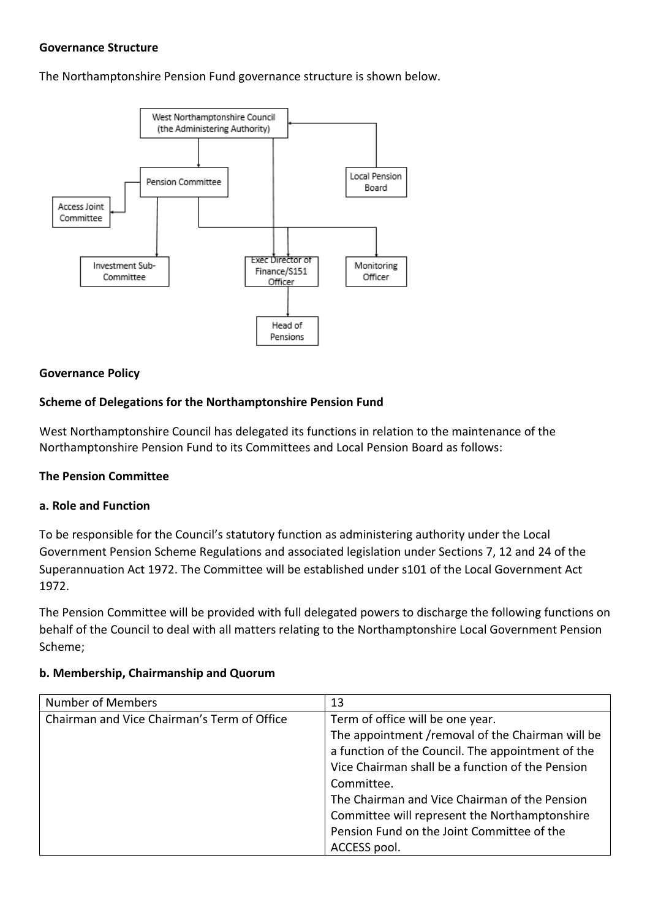#### **Governance Structure**

The Northamptonshire Pension Fund governance structure is shown below.



#### **Governance Policy**

#### **Scheme of Delegations for the Northamptonshire Pension Fund**

West Northamptonshire Council has delegated its functions in relation to the maintenance of the Northamptonshire Pension Fund to its Committees and Local Pension Board as follows:

#### **The Pension Committee**

#### **a. Role and Function**

To be responsible for the Council's statutory function as administering authority under the Local Government Pension Scheme Regulations and associated legislation under Sections 7, 12 and 24 of the Superannuation Act 1972. The Committee will be established under s101 of the Local Government Act 1972.

The Pension Committee will be provided with full delegated powers to discharge the following functions on behalf of the Council to deal with all matters relating to the Northamptonshire Local Government Pension Scheme;

| <b>Number of Members</b>                    | 13                                                |
|---------------------------------------------|---------------------------------------------------|
| Chairman and Vice Chairman's Term of Office | Term of office will be one year.                  |
|                                             | The appointment /removal of the Chairman will be  |
|                                             | a function of the Council. The appointment of the |
|                                             | Vice Chairman shall be a function of the Pension  |
|                                             | Committee.                                        |
|                                             | The Chairman and Vice Chairman of the Pension     |
|                                             | Committee will represent the Northamptonshire     |
|                                             | Pension Fund on the Joint Committee of the        |
|                                             | ACCESS pool.                                      |

#### **b. Membership, Chairmanship and Quorum**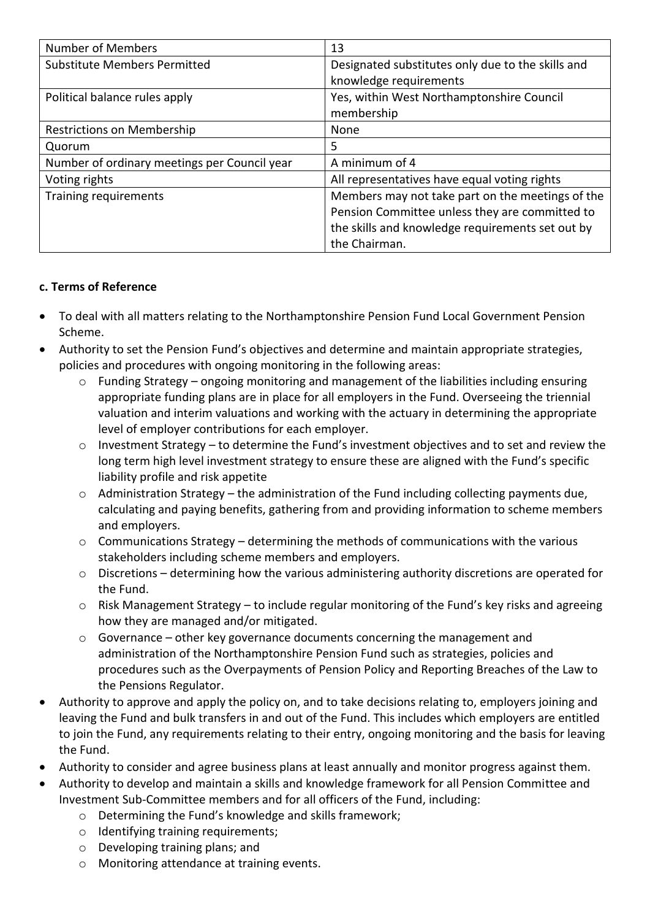| <b>Number of Members</b>                     | 13                                                |
|----------------------------------------------|---------------------------------------------------|
| <b>Substitute Members Permitted</b>          | Designated substitutes only due to the skills and |
|                                              | knowledge requirements                            |
| Political balance rules apply                | Yes, within West Northamptonshire Council         |
|                                              | membership                                        |
| Restrictions on Membership                   | None                                              |
| Quorum                                       | 5                                                 |
| Number of ordinary meetings per Council year | A minimum of 4                                    |
| Voting rights                                | All representatives have equal voting rights      |
| Training requirements                        | Members may not take part on the meetings of the  |
|                                              | Pension Committee unless they are committed to    |
|                                              | the skills and knowledge requirements set out by  |
|                                              | the Chairman.                                     |

## **c. Terms of Reference**

- To deal with all matters relating to the Northamptonshire Pension Fund Local Government Pension Scheme.
- Authority to set the Pension Fund's objectives and determine and maintain appropriate strategies, policies and procedures with ongoing monitoring in the following areas:
	- $\circ$  Funding Strategy ongoing monitoring and management of the liabilities including ensuring appropriate funding plans are in place for all employers in the Fund. Overseeing the triennial valuation and interim valuations and working with the actuary in determining the appropriate level of employer contributions for each employer.
	- o Investment Strategy to determine the Fund's investment objectives and to set and review the long term high level investment strategy to ensure these are aligned with the Fund's specific liability profile and risk appetite
	- $\circ$  Administration Strategy the administration of the Fund including collecting payments due, calculating and paying benefits, gathering from and providing information to scheme members and employers.
	- o Communications Strategy determining the methods of communications with the various stakeholders including scheme members and employers.
	- $\circ$  Discretions determining how the various administering authority discretions are operated for the Fund.
	- o Risk Management Strategy to include regular monitoring of the Fund's key risks and agreeing how they are managed and/or mitigated.
	- o Governance other key governance documents concerning the management and administration of the Northamptonshire Pension Fund such as strategies, policies and procedures such as the Overpayments of Pension Policy and Reporting Breaches of the Law to the Pensions Regulator.
- Authority to approve and apply the policy on, and to take decisions relating to, employers joining and leaving the Fund and bulk transfers in and out of the Fund. This includes which employers are entitled to join the Fund, any requirements relating to their entry, ongoing monitoring and the basis for leaving the Fund.
- Authority to consider and agree business plans at least annually and monitor progress against them.
- Authority to develop and maintain a skills and knowledge framework for all Pension Committee and Investment Sub-Committee members and for all officers of the Fund, including:
	- o Determining the Fund's knowledge and skills framework;
	- o Identifying training requirements;
	- o Developing training plans; and
	- o Monitoring attendance at training events.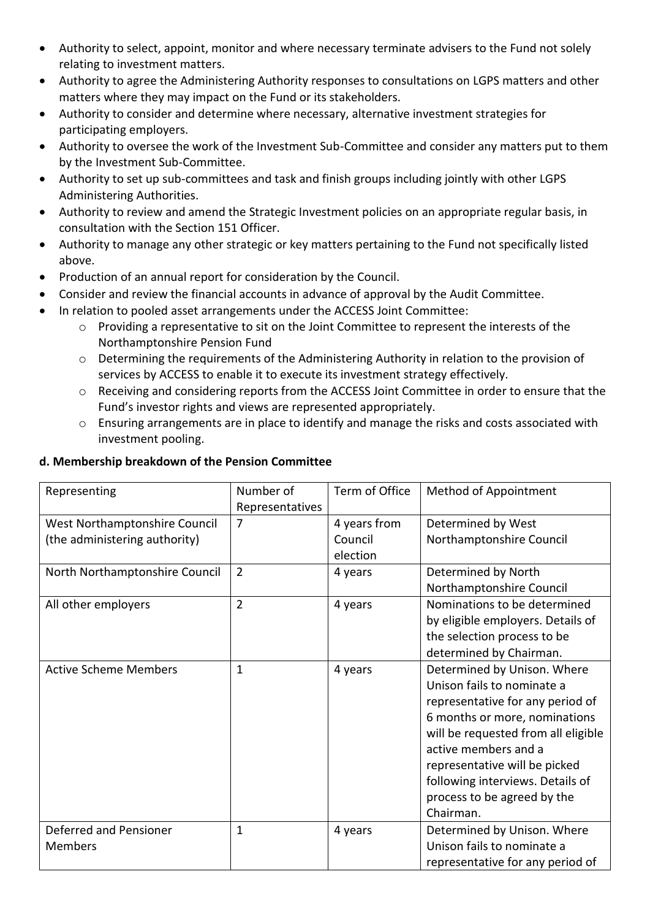- Authority to select, appoint, monitor and where necessary terminate advisers to the Fund not solely relating to investment matters.
- Authority to agree the Administering Authority responses to consultations on LGPS matters and other matters where they may impact on the Fund or its stakeholders.
- Authority to consider and determine where necessary, alternative investment strategies for participating employers.
- Authority to oversee the work of the Investment Sub-Committee and consider any matters put to them by the Investment Sub-Committee.
- Authority to set up sub-committees and task and finish groups including jointly with other LGPS Administering Authorities.
- Authority to review and amend the Strategic Investment policies on an appropriate regular basis, in consultation with the Section 151 Officer.
- Authority to manage any other strategic or key matters pertaining to the Fund not specifically listed above.
- Production of an annual report for consideration by the Council.
- Consider and review the financial accounts in advance of approval by the Audit Committee.
- In relation to pooled asset arrangements under the ACCESS Joint Committee:
	- o Providing a representative to sit on the Joint Committee to represent the interests of the Northamptonshire Pension Fund
	- o Determining the requirements of the Administering Authority in relation to the provision of services by ACCESS to enable it to execute its investment strategy effectively.
	- o Receiving and considering reports from the ACCESS Joint Committee in order to ensure that the Fund's investor rights and views are represented appropriately.
	- o Ensuring arrangements are in place to identify and manage the risks and costs associated with investment pooling.

### **d. Membership breakdown of the Pension Committee**

| Representing                   | Number of       | Term of Office | Method of Appointment               |  |
|--------------------------------|-----------------|----------------|-------------------------------------|--|
|                                | Representatives |                |                                     |  |
| West Northamptonshire Council  | 7               | 4 years from   | Determined by West                  |  |
| (the administering authority)  |                 | Council        | Northamptonshire Council            |  |
|                                |                 | election       |                                     |  |
| North Northamptonshire Council | $\overline{2}$  | 4 years        | Determined by North                 |  |
|                                |                 |                | Northamptonshire Council            |  |
| All other employers            | $\overline{2}$  | 4 years        | Nominations to be determined        |  |
|                                |                 |                | by eligible employers. Details of   |  |
|                                |                 |                | the selection process to be         |  |
|                                |                 |                | determined by Chairman.             |  |
| <b>Active Scheme Members</b>   | 1               | 4 years        | Determined by Unison. Where         |  |
|                                |                 |                | Unison fails to nominate a          |  |
|                                |                 |                | representative for any period of    |  |
|                                |                 |                | 6 months or more, nominations       |  |
|                                |                 |                | will be requested from all eligible |  |
|                                |                 |                | active members and a                |  |
|                                |                 |                | representative will be picked       |  |
|                                |                 |                | following interviews. Details of    |  |
|                                |                 |                | process to be agreed by the         |  |
|                                |                 |                | Chairman.                           |  |
| Deferred and Pensioner         | 1               | 4 years        | Determined by Unison. Where         |  |
| <b>Members</b>                 |                 |                | Unison fails to nominate a          |  |
|                                |                 |                | representative for any period of    |  |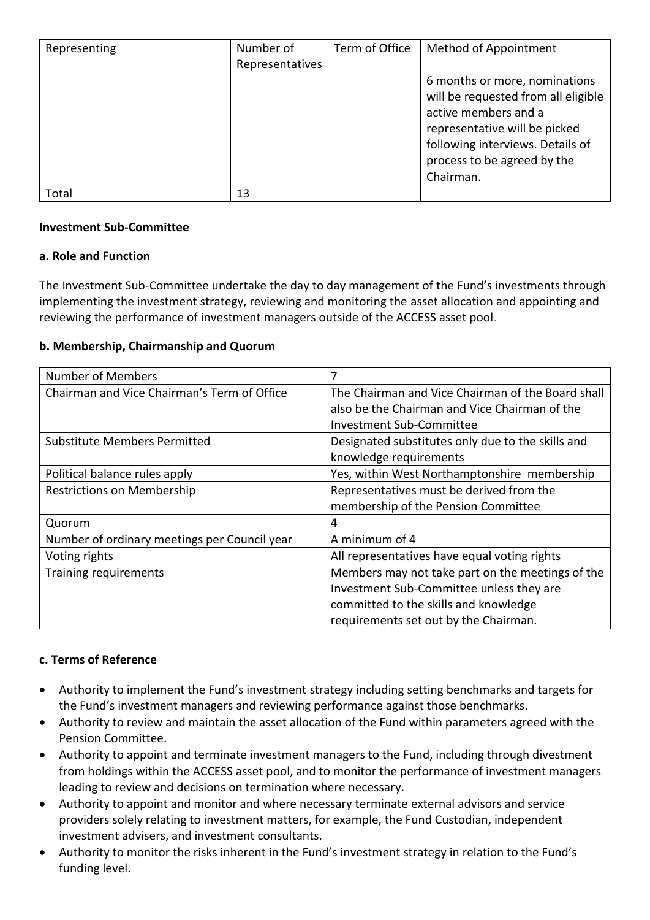| Representing | Number of       | Term of Office | Method of Appointment               |
|--------------|-----------------|----------------|-------------------------------------|
|              | Representatives |                |                                     |
|              |                 |                | 6 months or more, nominations       |
|              |                 |                | will be requested from all eligible |
|              |                 |                | active members and a                |
|              |                 |                | representative will be picked       |
|              |                 |                | following interviews. Details of    |
|              |                 |                | process to be agreed by the         |
|              |                 |                | Chairman.                           |
| Total        | 13              |                |                                     |

#### **Investment Sub-Committee**

### **a. Role and Function**

The Investment Sub-Committee undertake the day to day management of the Fund's investments through implementing the investment strategy, reviewing and monitoring the asset allocation and appointing and reviewing the performance of investment managers outside of the ACCESS asset pool.

### **b. Membership, Chairmanship and Quorum**

| <b>Number of Members</b>                     | 7                                                 |
|----------------------------------------------|---------------------------------------------------|
| Chairman and Vice Chairman's Term of Office  | The Chairman and Vice Chairman of the Board shall |
|                                              | also be the Chairman and Vice Chairman of the     |
|                                              | Investment Sub-Committee                          |
| <b>Substitute Members Permitted</b>          | Designated substitutes only due to the skills and |
|                                              | knowledge requirements                            |
| Political balance rules apply                | Yes, within West Northamptonshire membership      |
| Restrictions on Membership                   | Representatives must be derived from the          |
|                                              | membership of the Pension Committee               |
| Quorum                                       | 4                                                 |
| Number of ordinary meetings per Council year | A minimum of 4                                    |
| Voting rights                                | All representatives have equal voting rights      |
| Training requirements                        | Members may not take part on the meetings of the  |
|                                              | Investment Sub-Committee unless they are          |
|                                              | committed to the skills and knowledge             |
|                                              | requirements set out by the Chairman.             |

## **c. Terms of Reference**

- Authority to implement the Fund's investment strategy including setting benchmarks and targets for the Fund's investment managers and reviewing performance against those benchmarks.
- Authority to review and maintain the asset allocation of the Fund within parameters agreed with the Pension Committee.
- Authority to appoint and terminate investment managers to the Fund, including through divestment from holdings within the ACCESS asset pool, and to monitor the performance of investment managers leading to review and decisions on termination where necessary.
- Authority to appoint and monitor and where necessary terminate external advisors and service providers solely relating to investment matters, for example, the Fund Custodian, independent investment advisers, and investment consultants.
- Authority to monitor the risks inherent in the Fund's investment strategy in relation to the Fund's funding level.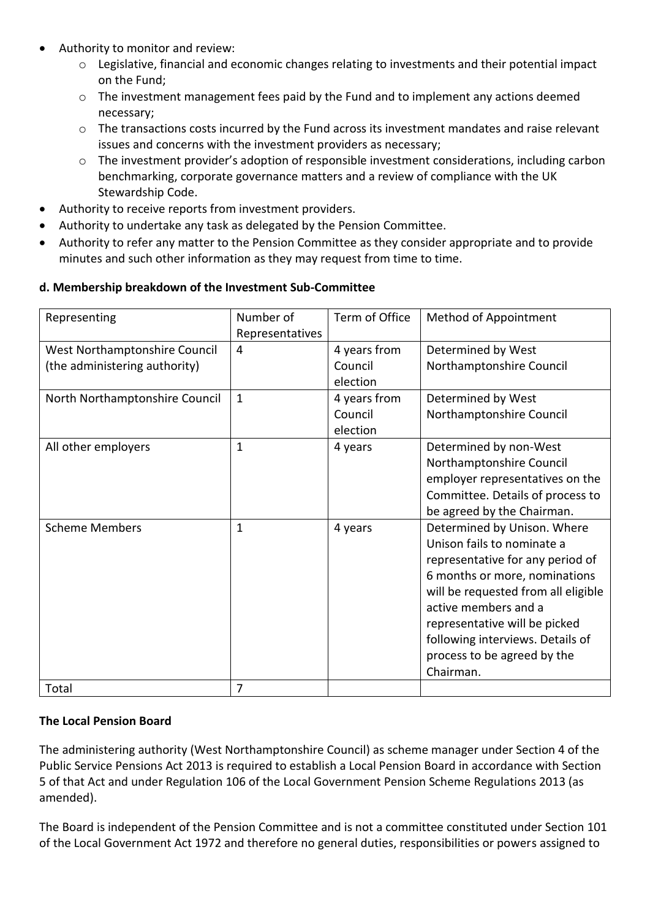- Authority to monitor and review:
	- o Legislative, financial and economic changes relating to investments and their potential impact on the Fund;
	- o The investment management fees paid by the Fund and to implement any actions deemed necessary;
	- $\circ$  The transactions costs incurred by the Fund across its investment mandates and raise relevant issues and concerns with the investment providers as necessary;
	- o The investment provider's adoption of responsible investment considerations, including carbon benchmarking, corporate governance matters and a review of compliance with the UK Stewardship Code.
- Authority to receive reports from investment providers.
- Authority to undertake any task as delegated by the Pension Committee.
- Authority to refer any matter to the Pension Committee as they consider appropriate and to provide minutes and such other information as they may request from time to time.

## **d. Membership breakdown of the Investment Sub-Committee**

| Representing                   | Number of       | Term of Office | <b>Method of Appointment</b>        |
|--------------------------------|-----------------|----------------|-------------------------------------|
|                                | Representatives |                |                                     |
| West Northamptonshire Council  | 4               | 4 years from   | Determined by West                  |
| (the administering authority)  |                 | Council        | Northamptonshire Council            |
|                                |                 | election       |                                     |
| North Northamptonshire Council | $\mathbf{1}$    | 4 years from   | Determined by West                  |
|                                |                 | Council        | Northamptonshire Council            |
|                                |                 | election       |                                     |
| All other employers            | $\mathbf{1}$    | 4 years        | Determined by non-West              |
|                                |                 |                | Northamptonshire Council            |
|                                |                 |                | employer representatives on the     |
|                                |                 |                | Committee. Details of process to    |
|                                |                 |                | be agreed by the Chairman.          |
| <b>Scheme Members</b>          | $\mathbf{1}$    | 4 years        | Determined by Unison. Where         |
|                                |                 |                | Unison fails to nominate a          |
|                                |                 |                | representative for any period of    |
|                                |                 |                | 6 months or more, nominations       |
|                                |                 |                | will be requested from all eligible |
|                                |                 |                | active members and a                |
|                                |                 |                | representative will be picked       |
|                                |                 |                | following interviews. Details of    |
|                                |                 |                | process to be agreed by the         |
|                                |                 |                | Chairman.                           |
| Total                          | 7               |                |                                     |

## **The Local Pension Board**

The administering authority (West Northamptonshire Council) as scheme manager under Section 4 of the Public Service Pensions Act 2013 is required to establish a Local Pension Board in accordance with Section 5 of that Act and under Regulation 106 of the Local Government Pension Scheme Regulations 2013 (as amended).

The Board is independent of the Pension Committee and is not a committee constituted under Section 101 of the Local Government Act 1972 and therefore no general duties, responsibilities or powers assigned to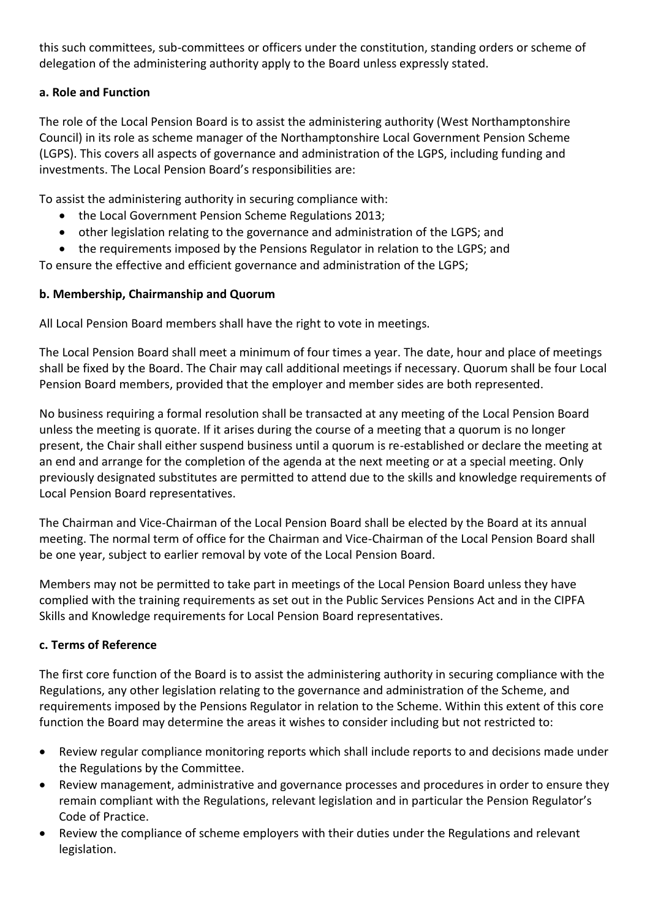this such committees, sub-committees or officers under the constitution, standing orders or scheme of delegation of the administering authority apply to the Board unless expressly stated.

# **a. Role and Function**

The role of the Local Pension Board is to assist the administering authority (West Northamptonshire Council) in its role as scheme manager of the Northamptonshire Local Government Pension Scheme (LGPS). This covers all aspects of governance and administration of the LGPS, including funding and investments. The Local Pension Board's responsibilities are:

To assist the administering authority in securing compliance with:

- the Local Government Pension Scheme Regulations 2013;
- other legislation relating to the governance and administration of the LGPS; and
- the requirements imposed by the Pensions Regulator in relation to the LGPS; and

To ensure the effective and efficient governance and administration of the LGPS;

# **b. Membership, Chairmanship and Quorum**

All Local Pension Board members shall have the right to vote in meetings.

The Local Pension Board shall meet a minimum of four times a year. The date, hour and place of meetings shall be fixed by the Board. The Chair may call additional meetings if necessary. Quorum shall be four Local Pension Board members, provided that the employer and member sides are both represented.

No business requiring a formal resolution shall be transacted at any meeting of the Local Pension Board unless the meeting is quorate. If it arises during the course of a meeting that a quorum is no longer present, the Chair shall either suspend business until a quorum is re-established or declare the meeting at an end and arrange for the completion of the agenda at the next meeting or at a special meeting. Only previously designated substitutes are permitted to attend due to the skills and knowledge requirements of Local Pension Board representatives.

The Chairman and Vice-Chairman of the Local Pension Board shall be elected by the Board at its annual meeting. The normal term of office for the Chairman and Vice-Chairman of the Local Pension Board shall be one year, subject to earlier removal by vote of the Local Pension Board.

Members may not be permitted to take part in meetings of the Local Pension Board unless they have complied with the training requirements as set out in the Public Services Pensions Act and in the CIPFA Skills and Knowledge requirements for Local Pension Board representatives.

# **c. Terms of Reference**

The first core function of the Board is to assist the administering authority in securing compliance with the Regulations, any other legislation relating to the governance and administration of the Scheme, and requirements imposed by the Pensions Regulator in relation to the Scheme. Within this extent of this core function the Board may determine the areas it wishes to consider including but not restricted to:

- Review regular compliance monitoring reports which shall include reports to and decisions made under the Regulations by the Committee.
- Review management, administrative and governance processes and procedures in order to ensure they remain compliant with the Regulations, relevant legislation and in particular the Pension Regulator's Code of Practice.
- Review the compliance of scheme employers with their duties under the Regulations and relevant legislation.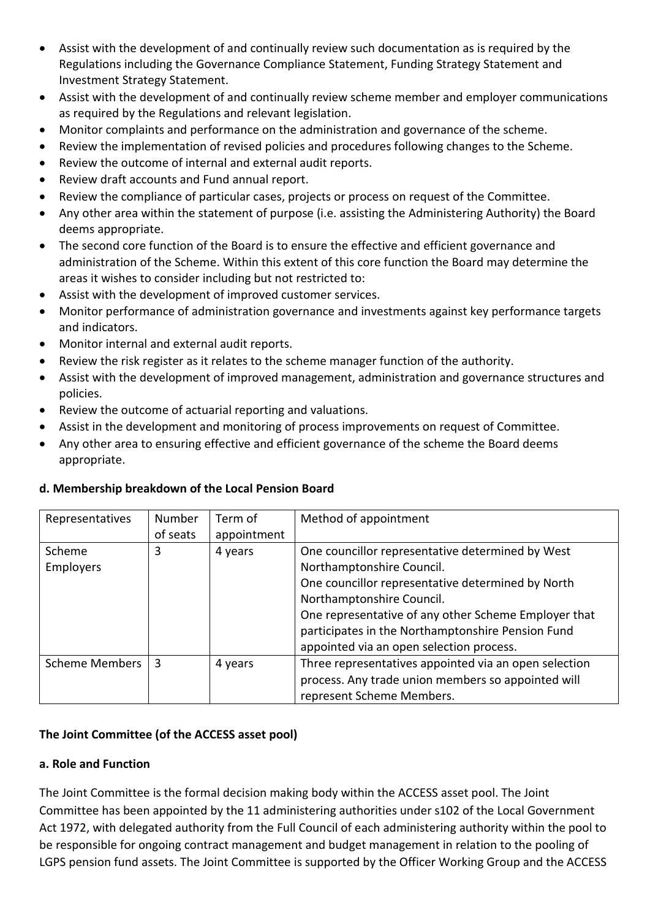- Assist with the development of and continually review such documentation as is required by the Regulations including the Governance Compliance Statement, Funding Strategy Statement and Investment Strategy Statement.
- Assist with the development of and continually review scheme member and employer communications as required by the Regulations and relevant legislation.
- Monitor complaints and performance on the administration and governance of the scheme.
- Review the implementation of revised policies and procedures following changes to the Scheme.
- Review the outcome of internal and external audit reports.
- Review draft accounts and Fund annual report.
- Review the compliance of particular cases, projects or process on request of the Committee.
- Any other area within the statement of purpose (i.e. assisting the Administering Authority) the Board deems appropriate.
- The second core function of the Board is to ensure the effective and efficient governance and administration of the Scheme. Within this extent of this core function the Board may determine the areas it wishes to consider including but not restricted to:
- Assist with the development of improved customer services.
- Monitor performance of administration governance and investments against key performance targets and indicators.
- Monitor internal and external audit reports.
- Review the risk register as it relates to the scheme manager function of the authority.
- Assist with the development of improved management, administration and governance structures and policies.
- Review the outcome of actuarial reporting and valuations.
- Assist in the development and monitoring of process improvements on request of Committee.
- Any other area to ensuring effective and efficient governance of the scheme the Board deems appropriate.

# **d. Membership breakdown of the Local Pension Board**

| Representatives       | Number   | Term of     | Method of appointment                                 |
|-----------------------|----------|-------------|-------------------------------------------------------|
|                       | of seats | appointment |                                                       |
| Scheme                | 3        | 4 years     | One councillor representative determined by West      |
| <b>Employers</b>      |          |             | Northamptonshire Council.                             |
|                       |          |             | One councillor representative determined by North     |
|                       |          |             | Northamptonshire Council.                             |
|                       |          |             | One representative of any other Scheme Employer that  |
|                       |          |             | participates in the Northamptonshire Pension Fund     |
|                       |          |             | appointed via an open selection process.              |
| <b>Scheme Members</b> | 3        | 4 years     | Three representatives appointed via an open selection |
|                       |          |             | process. Any trade union members so appointed will    |
|                       |          |             | represent Scheme Members.                             |

# **The Joint Committee (of the ACCESS asset pool)**

# **a. Role and Function**

The Joint Committee is the formal decision making body within the ACCESS asset pool. The Joint Committee has been appointed by the 11 administering authorities under s102 of the Local Government Act 1972, with delegated authority from the Full Council of each administering authority within the pool to be responsible for ongoing contract management and budget management in relation to the pooling of LGPS pension fund assets. The Joint Committee is supported by the Officer Working Group and the ACCESS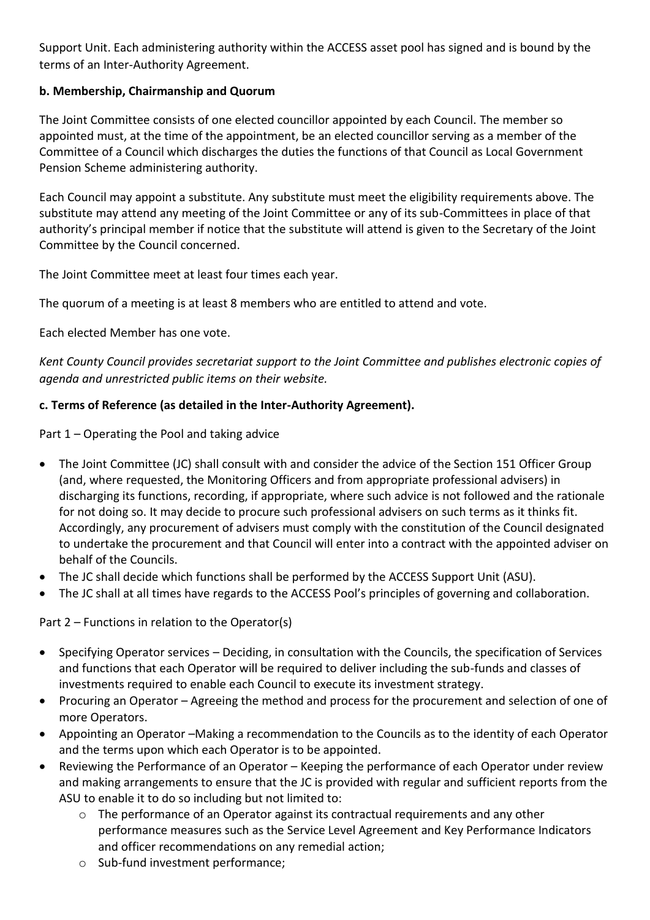Support Unit. Each administering authority within the ACCESS asset pool has signed and is bound by the terms of an Inter-Authority Agreement.

## **b. Membership, Chairmanship and Quorum**

The Joint Committee consists of one elected councillor appointed by each Council. The member so appointed must, at the time of the appointment, be an elected councillor serving as a member of the Committee of a Council which discharges the duties the functions of that Council as Local Government Pension Scheme administering authority.

Each Council may appoint a substitute. Any substitute must meet the eligibility requirements above. The substitute may attend any meeting of the Joint Committee or any of its sub-Committees in place of that authority's principal member if notice that the substitute will attend is given to the Secretary of the Joint Committee by the Council concerned.

The Joint Committee meet at least four times each year.

The quorum of a meeting is at least 8 members who are entitled to attend and vote.

Each elected Member has one vote.

*Kent County Council provides secretariat support to the Joint Committee and publishes electronic copies of agenda and unrestricted public items on their website.* 

# **c. Terms of Reference (as detailed in the Inter-Authority Agreement).**

Part 1 – Operating the Pool and taking advice

- The Joint Committee (JC) shall consult with and consider the advice of the Section 151 Officer Group (and, where requested, the Monitoring Officers and from appropriate professional advisers) in discharging its functions, recording, if appropriate, where such advice is not followed and the rationale for not doing so. It may decide to procure such professional advisers on such terms as it thinks fit. Accordingly, any procurement of advisers must comply with the constitution of the Council designated to undertake the procurement and that Council will enter into a contract with the appointed adviser on behalf of the Councils.
- The JC shall decide which functions shall be performed by the ACCESS Support Unit (ASU).
- The JC shall at all times have regards to the ACCESS Pool's principles of governing and collaboration.

Part 2 – Functions in relation to the Operator(s)

- Specifying Operator services Deciding, in consultation with the Councils, the specification of Services and functions that each Operator will be required to deliver including the sub-funds and classes of investments required to enable each Council to execute its investment strategy.
- Procuring an Operator Agreeing the method and process for the procurement and selection of one of more Operators.
- Appointing an Operator –Making a recommendation to the Councils as to the identity of each Operator and the terms upon which each Operator is to be appointed.
- Reviewing the Performance of an Operator Keeping the performance of each Operator under review and making arrangements to ensure that the JC is provided with regular and sufficient reports from the ASU to enable it to do so including but not limited to:
	- $\circ$  The performance of an Operator against its contractual requirements and any other performance measures such as the Service Level Agreement and Key Performance Indicators and officer recommendations on any remedial action;
	- o Sub-fund investment performance;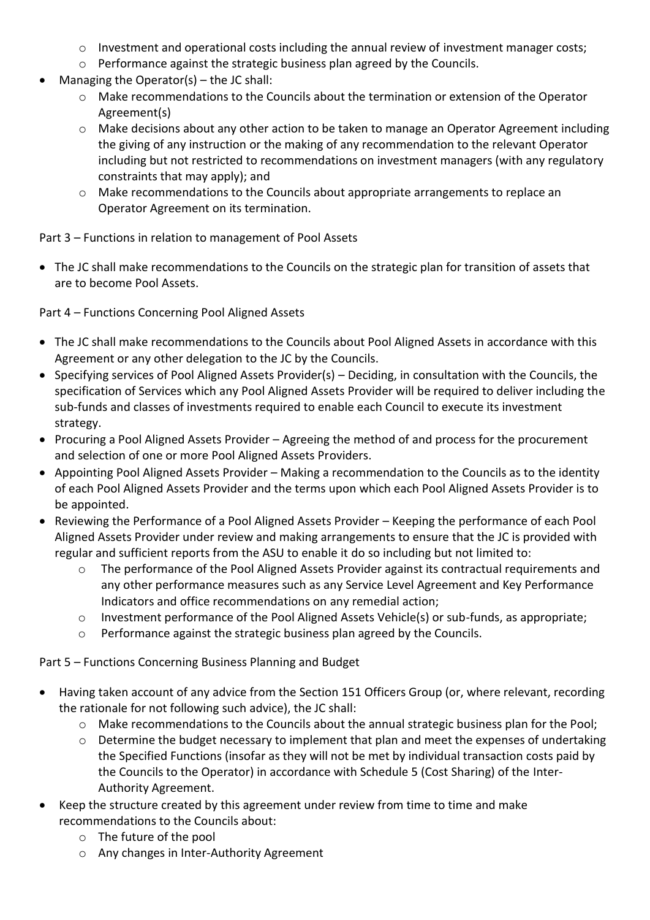- o Investment and operational costs including the annual review of investment manager costs;
- $\circ$  Performance against the strategic business plan agreed by the Councils.
- Managing the Operator(s) the JC shall:
	- o Make recommendations to the Councils about the termination or extension of the Operator Agreement(s)
	- $\circ$  Make decisions about any other action to be taken to manage an Operator Agreement including the giving of any instruction or the making of any recommendation to the relevant Operator including but not restricted to recommendations on investment managers (with any regulatory constraints that may apply); and
	- o Make recommendations to the Councils about appropriate arrangements to replace an Operator Agreement on its termination.

Part 3 – Functions in relation to management of Pool Assets

 The JC shall make recommendations to the Councils on the strategic plan for transition of assets that are to become Pool Assets.

Part 4 – Functions Concerning Pool Aligned Assets

- The JC shall make recommendations to the Councils about Pool Aligned Assets in accordance with this Agreement or any other delegation to the JC by the Councils.
- Specifying services of Pool Aligned Assets Provider(s) Deciding, in consultation with the Councils, the specification of Services which any Pool Aligned Assets Provider will be required to deliver including the sub-funds and classes of investments required to enable each Council to execute its investment strategy.
- Procuring a Pool Aligned Assets Provider Agreeing the method of and process for the procurement and selection of one or more Pool Aligned Assets Providers.
- Appointing Pool Aligned Assets Provider Making a recommendation to the Councils as to the identity of each Pool Aligned Assets Provider and the terms upon which each Pool Aligned Assets Provider is to be appointed.
- Reviewing the Performance of a Pool Aligned Assets Provider Keeping the performance of each Pool Aligned Assets Provider under review and making arrangements to ensure that the JC is provided with regular and sufficient reports from the ASU to enable it do so including but not limited to:
	- o The performance of the Pool Aligned Assets Provider against its contractual requirements and any other performance measures such as any Service Level Agreement and Key Performance Indicators and office recommendations on any remedial action;
	- o Investment performance of the Pool Aligned Assets Vehicle(s) or sub-funds, as appropriate;
	- Performance against the strategic business plan agreed by the Councils.

Part 5 – Functions Concerning Business Planning and Budget

- Having taken account of any advice from the Section 151 Officers Group (or, where relevant, recording the rationale for not following such advice), the JC shall:
	- o Make recommendations to the Councils about the annual strategic business plan for the Pool;
	- o Determine the budget necessary to implement that plan and meet the expenses of undertaking the Specified Functions (insofar as they will not be met by individual transaction costs paid by the Councils to the Operator) in accordance with Schedule 5 (Cost Sharing) of the Inter-Authority Agreement.
- Keep the structure created by this agreement under review from time to time and make recommendations to the Councils about:
	- o The future of the pool
	- o Any changes in Inter-Authority Agreement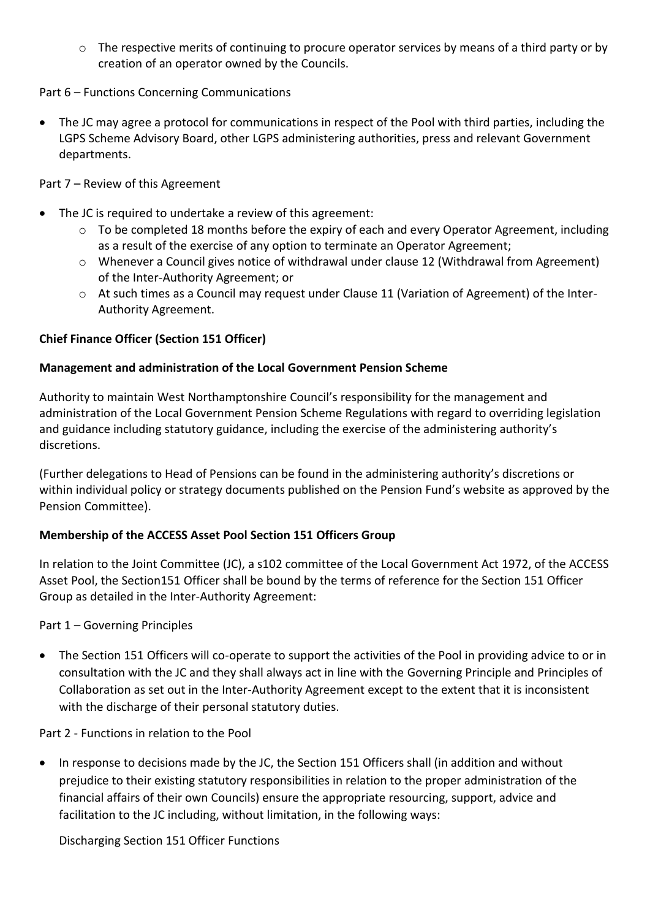o The respective merits of continuing to procure operator services by means of a third party or by creation of an operator owned by the Councils.

## Part 6 – Functions Concerning Communications

 The JC may agree a protocol for communications in respect of the Pool with third parties, including the LGPS Scheme Advisory Board, other LGPS administering authorities, press and relevant Government departments.

Part 7 – Review of this Agreement

- The JC is required to undertake a review of this agreement:
	- o To be completed 18 months before the expiry of each and every Operator Agreement, including as a result of the exercise of any option to terminate an Operator Agreement;
	- o Whenever a Council gives notice of withdrawal under clause 12 (Withdrawal from Agreement) of the Inter-Authority Agreement; or
	- $\circ$  At such times as a Council may request under Clause 11 (Variation of Agreement) of the Inter-Authority Agreement.

## **Chief Finance Officer (Section 151 Officer)**

## **Management and administration of the Local Government Pension Scheme**

Authority to maintain West Northamptonshire Council's responsibility for the management and administration of the Local Government Pension Scheme Regulations with regard to overriding legislation and guidance including statutory guidance, including the exercise of the administering authority's discretions.

(Further delegations to Head of Pensions can be found in the administering authority's discretions or within individual policy or strategy documents published on the Pension Fund's website as approved by the Pension Committee).

# **Membership of the ACCESS Asset Pool Section 151 Officers Group**

In relation to the Joint Committee (JC), a s102 committee of the Local Government Act 1972, of the ACCESS Asset Pool, the Section151 Officer shall be bound by the terms of reference for the Section 151 Officer Group as detailed in the Inter-Authority Agreement:

## Part 1 – Governing Principles

 The Section 151 Officers will co-operate to support the activities of the Pool in providing advice to or in consultation with the JC and they shall always act in line with the Governing Principle and Principles of Collaboration as set out in the Inter-Authority Agreement except to the extent that it is inconsistent with the discharge of their personal statutory duties.

Part 2 - Functions in relation to the Pool

• In response to decisions made by the JC, the Section 151 Officers shall (in addition and without prejudice to their existing statutory responsibilities in relation to the proper administration of the financial affairs of their own Councils) ensure the appropriate resourcing, support, advice and facilitation to the JC including, without limitation, in the following ways:

Discharging Section 151 Officer Functions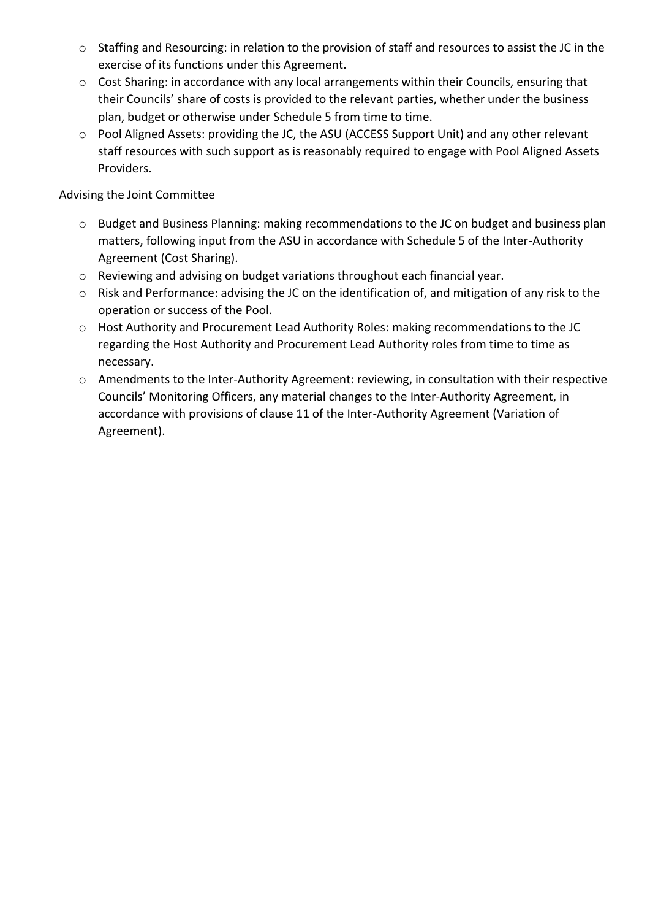- o Staffing and Resourcing: in relation to the provision of staff and resources to assist the JC in the exercise of its functions under this Agreement.
- o Cost Sharing: in accordance with any local arrangements within their Councils, ensuring that their Councils' share of costs is provided to the relevant parties, whether under the business plan, budget or otherwise under Schedule 5 from time to time.
- o Pool Aligned Assets: providing the JC, the ASU (ACCESS Support Unit) and any other relevant staff resources with such support as is reasonably required to engage with Pool Aligned Assets Providers.

## Advising the Joint Committee

- o Budget and Business Planning: making recommendations to the JC on budget and business plan matters, following input from the ASU in accordance with Schedule 5 of the Inter-Authority Agreement (Cost Sharing).
- o Reviewing and advising on budget variations throughout each financial year.
- o Risk and Performance: advising the JC on the identification of, and mitigation of any risk to the operation or success of the Pool.
- o Host Authority and Procurement Lead Authority Roles: making recommendations to the JC regarding the Host Authority and Procurement Lead Authority roles from time to time as necessary.
- o Amendments to the Inter-Authority Agreement: reviewing, in consultation with their respective Councils' Monitoring Officers, any material changes to the Inter-Authority Agreement, in accordance with provisions of clause 11 of the Inter-Authority Agreement (Variation of Agreement).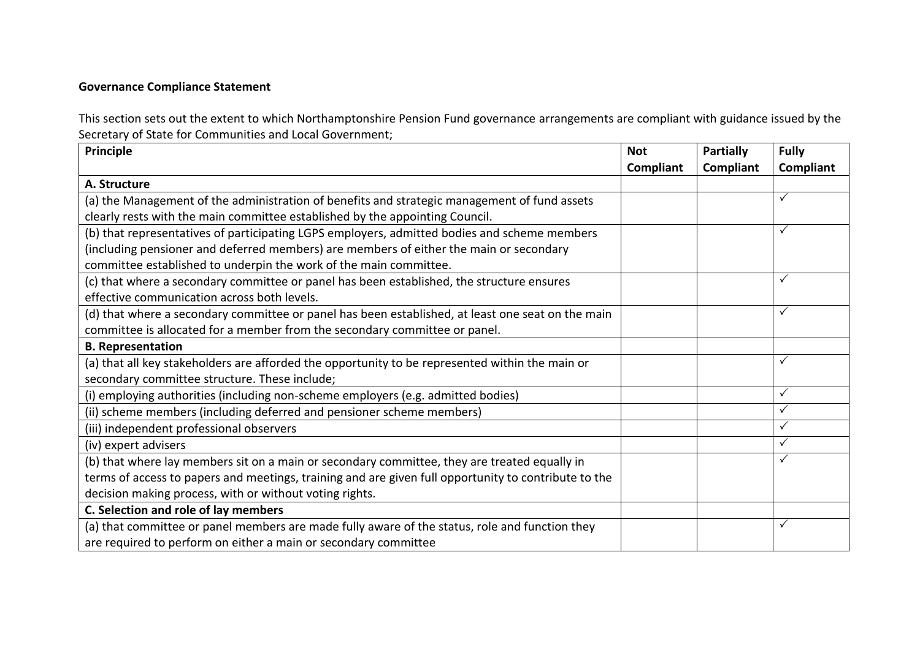## **Governance Compliance Statement**

This section sets out the extent to which Northamptonshire Pension Fund governance arrangements are compliant with guidance issued by the Secretary of State for Communities and Local Government;

| Principle                                                                                            | <b>Not</b> | <b>Partially</b> | <b>Fully</b> |
|------------------------------------------------------------------------------------------------------|------------|------------------|--------------|
|                                                                                                      | Compliant  | Compliant        | Compliant    |
| A. Structure                                                                                         |            |                  |              |
| (a) the Management of the administration of benefits and strategic management of fund assets         |            |                  | ✓            |
| clearly rests with the main committee established by the appointing Council.                         |            |                  |              |
| (b) that representatives of participating LGPS employers, admitted bodies and scheme members         |            |                  | $\checkmark$ |
| (including pensioner and deferred members) are members of either the main or secondary               |            |                  |              |
| committee established to underpin the work of the main committee.                                    |            |                  |              |
| (c) that where a secondary committee or panel has been established, the structure ensures            |            |                  | $\checkmark$ |
| effective communication across both levels.                                                          |            |                  |              |
| (d) that where a secondary committee or panel has been established, at least one seat on the main    |            |                  | $\checkmark$ |
| committee is allocated for a member from the secondary committee or panel.                           |            |                  |              |
| <b>B. Representation</b>                                                                             |            |                  |              |
| (a) that all key stakeholders are afforded the opportunity to be represented within the main or      |            |                  | $\checkmark$ |
| secondary committee structure. These include;                                                        |            |                  |              |
| (i) employing authorities (including non-scheme employers (e.g. admitted bodies)                     |            |                  | $\checkmark$ |
| (ii) scheme members (including deferred and pensioner scheme members)                                |            |                  | $\checkmark$ |
| (iii) independent professional observers                                                             |            |                  | $\checkmark$ |
| (iv) expert advisers                                                                                 |            |                  | $\checkmark$ |
| (b) that where lay members sit on a main or secondary committee, they are treated equally in         |            |                  | $\checkmark$ |
| terms of access to papers and meetings, training and are given full opportunity to contribute to the |            |                  |              |
| decision making process, with or without voting rights.                                              |            |                  |              |
| C. Selection and role of lay members                                                                 |            |                  |              |
| (a) that committee or panel members are made fully aware of the status, role and function they       |            |                  | ✓            |
| are required to perform on either a main or secondary committee                                      |            |                  |              |